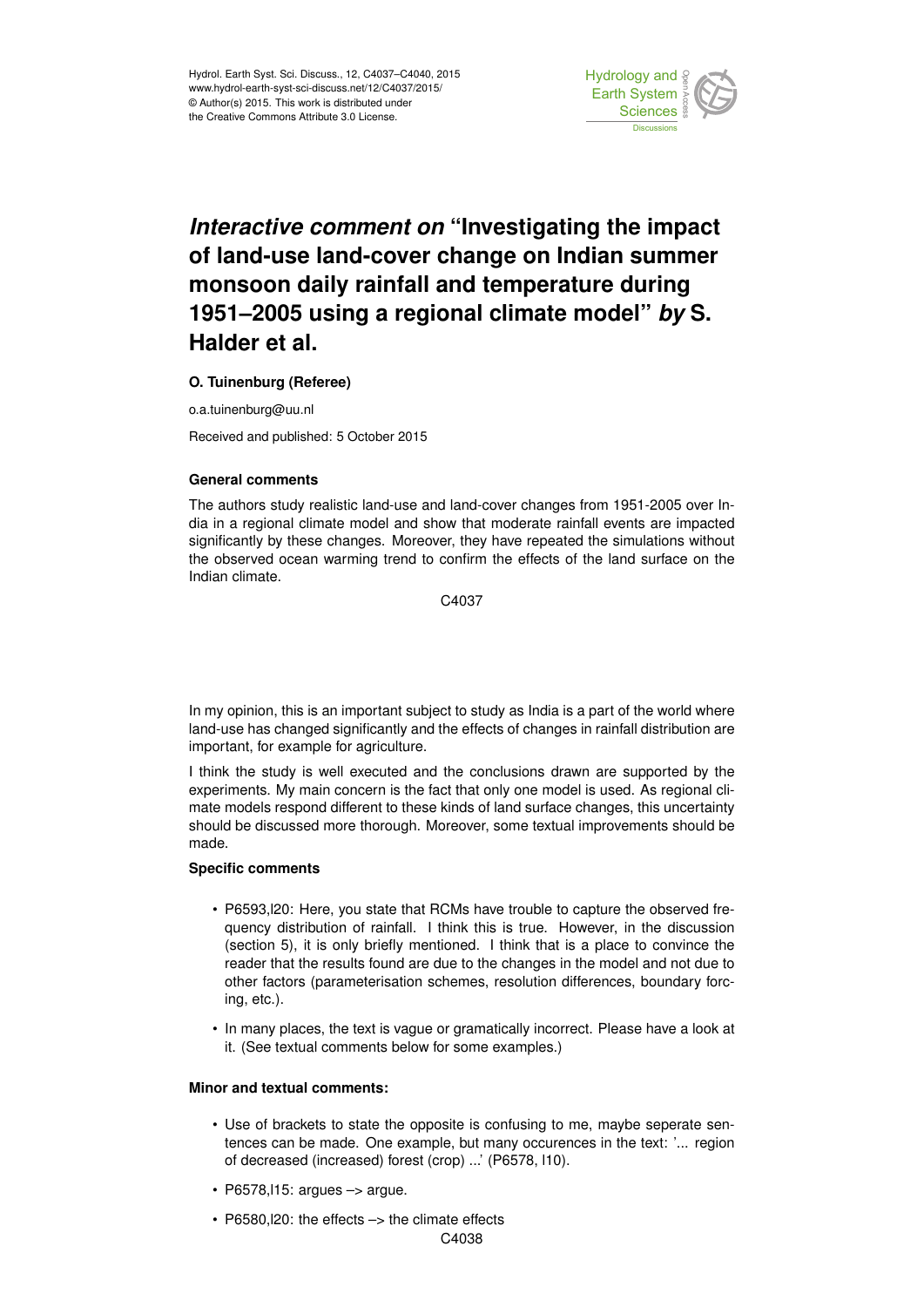

# *Interactive comment on* **"Investigating the impact of land-use land-cover change on Indian summer monsoon daily rainfall and temperature during 1951–2005 using a regional climate model"** *by* **S. Halder et al.**

### **O. Tuinenburg (Referee)**

o.a.tuinenburg@uu.nl

Received and published: 5 October 2015

#### **General comments**

The authors study realistic land-use and land-cover changes from 1951-2005 over India in a regional climate model and show that moderate rainfall events are impacted significantly by these changes. Moreover, they have repeated the simulations without the observed ocean warming trend to confirm the effects of the land surface on the Indian climate.

C4037

In my opinion, this is an important subject to study as India is a part of the world where land-use has changed significantly and the effects of changes in rainfall distribution are important, for example for agriculture.

I think the study is well executed and the conclusions drawn are supported by the experiments. My main concern is the fact that only one model is used. As regional climate models respond different to these kinds of land surface changes, this uncertainty should be discussed more thorough. Moreover, some textual improvements should be made.

#### **Specific comments**

- P6593,l20: Here, you state that RCMs have trouble to capture the observed frequency distribution of rainfall. I think this is true. However, in the discussion (section 5), it is only briefly mentioned. I think that is a place to convince the reader that the results found are due to the changes in the model and not due to other factors (parameterisation schemes, resolution differences, boundary forcing, etc.).
- In many places, the text is vague or gramatically incorrect. Please have a look at it. (See textual comments below for some examples.)

## **Minor and textual comments:**

- Use of brackets to state the opposite is confusing to me, maybe seperate sentences can be made. One example, but many occurences in the text: '... region of decreased (increased) forest (crop) ...' (P6578, l10).
- $\cdot$  P6578, l15: argues  $\rightarrow$  argue.
- P6580, l20: the effects -> the climate effects